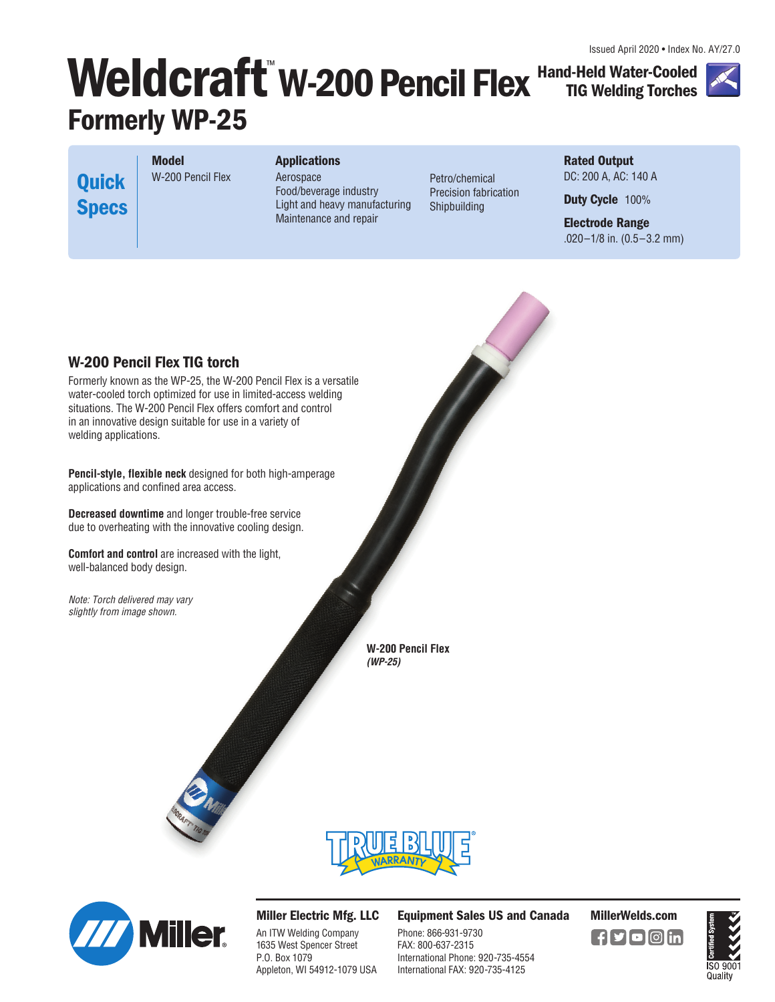Issued April 2020 • Index No. AY/27.0

# Weldcraft W-200 Pencil Flex Hand-Held Water-Cooled **Formerly WP-25**

**Rated Output**  DC: 200 A, AC: 140 A

**TIG Welding Torches**

**Duty Cycle** 100%

**Electrode Range**  .020–1/8 in. (0.5–3.2 mm)

**Model**  W-200 Pencil Flex **Quick Specs**

**Applications** 

Aerospace Food/beverage industry Light and heavy manufacturing Maintenance and repair

Petro/chemical Precision fabrication Shipbuilding

## **W-200 Pencil Flex TIG torch**

Formerly known as the WP-25, the W-200 Pencil Flex is a versatile water-cooled torch optimized for use in limited-access welding situations. The W-200 Pencil Flex offers comfort and control in an innovative design suitable for use in a variety of welding applications.

**Pencil-style, flexible neck** designed for both high-amperage applications and confined area access.

**Decreased downtime** and longer trouble-free service due to overheating with the innovative cooling design.

**Comfort and control** are increased with the light, well-balanced body design.

Note: Torch delivered may vary slightly from image shown.

> **W-200 Pencil Flex (WP-25)**



**Miller Electric Mfg. LLC** 

An ITW Welding Company 1635 West Spencer Street P.O. Box 1079 Appleton, WI 54912-1079 USA **Equipment Sales US and Canada MillerWelds.com**

Phone: 866-931-9730 FAX: 800-637-2315 International Phone: 920-735-4554 International FAX: 920-735-4125



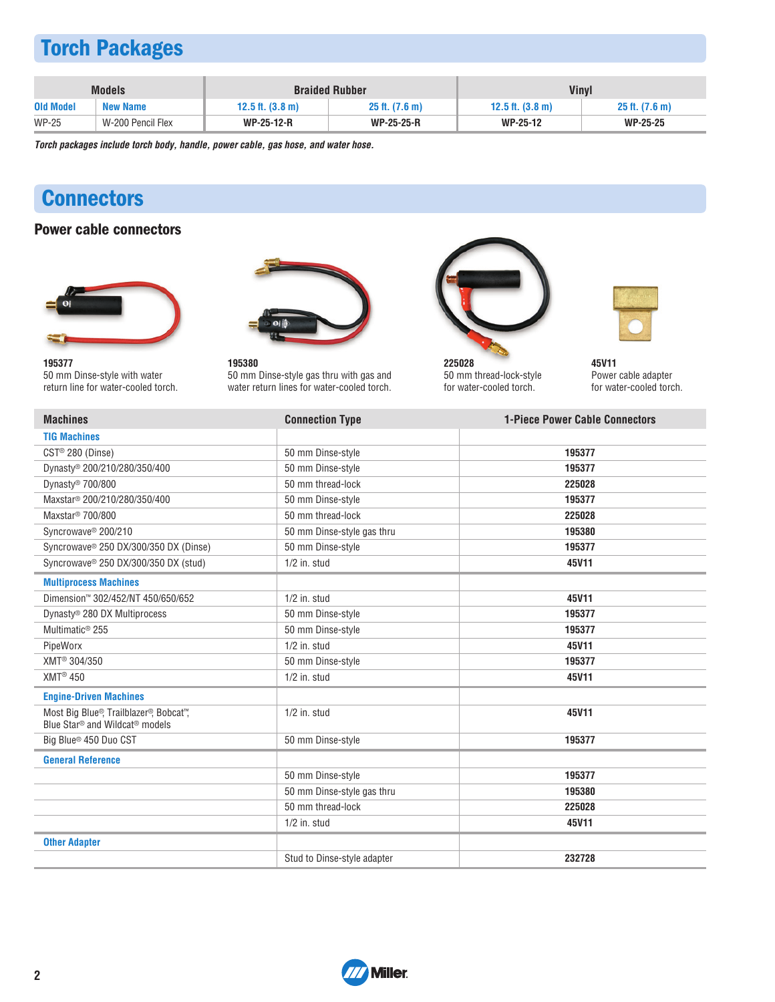# **Torch Packages**

|                  | <b>Models</b>     |                            | <b>Braided Rubber</b> | <b>Vinyl</b>                 |                     |
|------------------|-------------------|----------------------------|-----------------------|------------------------------|---------------------|
| <b>Old Model</b> | <b>New Name</b>   | 12.5 ft. $(3.8 \text{ m})$ | $25$ ft. $(7.6)$ m)   | $12.5$ ft. $(3.8 \text{ m})$ | $25$ ft. $(7.6)$ m) |
| <b>WP-25</b>     | W-200 Pencil Flex | <b>WP-25-12-R</b>          | <b>WP-25-25-R</b>     | <b>WP-25-12</b>              | <b>WP-25-25</b>     |

**Torch packages include torch body, handle, power cable, gas hose, and water hose.**

## **Connectors**

## **Power cable connectors**





**195377**  50 mm Dinse-style with water return line for water-cooled torch.

**195380**  50 mm Dinse-style gas thru with gas and water return lines for water-cooled torch.



**225028**  50 mm thread-lock-style for water-cooled torch.



**45V11**  Power cable adapter for water-cooled torch.

| <b>Machines</b>                                                                                  | <b>Connection Type</b>      | <b>1-Piece Power Cable Connectors</b> |
|--------------------------------------------------------------------------------------------------|-----------------------------|---------------------------------------|
| <b>TIG Machines</b>                                                                              |                             |                                       |
| CST® 280 (Dinse)                                                                                 | 50 mm Dinse-style           | 195377                                |
| Dynasty® 200/210/280/350/400                                                                     | 50 mm Dinse-style           | 195377                                |
| Dynasty <sup>®</sup> 700/800                                                                     | 50 mm thread-lock           | 225028                                |
| Maxstar <sup>®</sup> 200/210/280/350/400                                                         | 50 mm Dinse-style           | 195377                                |
| Maxstar <sup>®</sup> 700/800                                                                     | 50 mm thread-lock           | 225028                                |
| Syncrowave <sup>®</sup> 200/210                                                                  | 50 mm Dinse-style gas thru  | 195380                                |
| Syncrowave <sup>®</sup> 250 DX/300/350 DX (Dinse)                                                | 50 mm Dinse-style           | 195377                                |
| Syncrowave <sup>®</sup> 250 DX/300/350 DX (stud)                                                 | $1/2$ in. stud              | 45V11                                 |
| <b>Multiprocess Machines</b>                                                                     |                             |                                       |
| Dimension™ 302/452/NT 450/650/652                                                                | $1/2$ in. stud              | 45V11                                 |
| Dynasty <sup>®</sup> 280 DX Multiprocess                                                         | 50 mm Dinse-style           | 195377                                |
| Multimatic <sup>®</sup> 255                                                                      | 50 mm Dinse-style           | 195377                                |
| PipeWorx                                                                                         | $1/2$ in. stud              | 45V11                                 |
| XMT <sup>®</sup> 304/350                                                                         | 50 mm Dinse-style           | 195377                                |
| <b>XMT® 450</b>                                                                                  | $1/2$ in. stud              | 45V11                                 |
| <b>Engine-Driven Machines</b>                                                                    |                             |                                       |
| Most Big Blue®, Trailblazer®, Bobcat™,<br>Blue Star <sup>®</sup> and Wildcat <sup>®</sup> models | $1/2$ in. stud              | 45V11                                 |
| Big Blue <sup>®</sup> 450 Duo CST                                                                | 50 mm Dinse-style           | 195377                                |
| <b>General Reference</b>                                                                         |                             |                                       |
|                                                                                                  | 50 mm Dinse-style           | 195377                                |
|                                                                                                  | 50 mm Dinse-style gas thru  | 195380                                |
|                                                                                                  | 50 mm thread-lock           | 225028                                |
|                                                                                                  | $1/2$ in. stud              | 45V11                                 |
| <b>Other Adapter</b>                                                                             |                             |                                       |
|                                                                                                  | Stud to Dinse-style adapter | 232728                                |

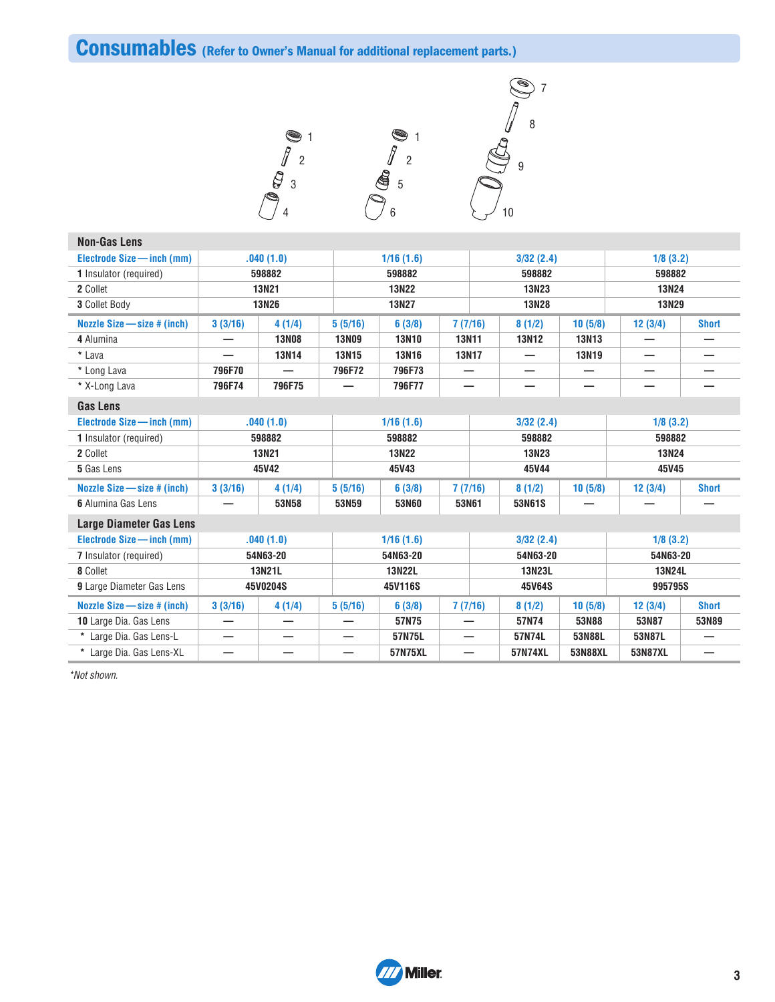**Consumables (Refer to Owner's Manual for additional replacement parts.)**



| <b>Non-Gas Lens</b>             |         |              |              |               |       |              |              |              |              |              |
|---------------------------------|---------|--------------|--------------|---------------|-------|--------------|--------------|--------------|--------------|--------------|
| Electrode Size - inch (mm)      |         | .040(1.0)    |              | 1/16(1.6)     |       |              | 3/32(2.4)    |              | 1/8(3.2)     |              |
| 1 Insulator (required)          |         | 598882       |              | 598882        |       |              | 598882       |              | 598882       |              |
| 2 Collet                        |         | 13N21        |              | <b>13N22</b>  |       |              | 13N23        |              | 13N24        |              |
| 3 Collet Body                   |         | <b>13N26</b> |              | <b>13N27</b>  |       |              | <b>13N28</b> |              | <b>13N29</b> |              |
| Nozzle Size - size # (inch)     | 3(3/16) | 4(1/4)       | 5(5/16)      | 6(3/8)        |       | 7(7/16)      | 8(1/2)       | 10(5/8)      | 12(3/4)      | <b>Short</b> |
| 4 Alumina                       |         | <b>13N08</b> | <b>13N09</b> | <b>13N10</b>  |       | <b>13N11</b> | <b>13N12</b> | <b>13N13</b> |              |              |
| * Lava                          |         | <b>13N14</b> | <b>13N15</b> | <b>13N16</b>  |       | <b>13N17</b> | —            | 13N19        |              |              |
| * Long Lava                     | 796F70  |              | 796F72       | 796F73        |       |              |              |              |              |              |
| * X-Long Lava                   | 796F74  | 796F75       |              | 796F77        |       |              |              |              |              |              |
| <b>Gas Lens</b>                 |         |              |              |               |       |              |              |              |              |              |
| Electrode Size - inch (mm)      |         | .040(1.0)    |              | 1/16(1.6)     |       |              | 3/32(2.4)    |              | 1/8(3.2)     |              |
| 1 Insulator (required)          |         | 598882       |              | 598882        |       |              | 598882       |              | 598882       |              |
| 2 Collet                        |         | <b>13N21</b> |              | <b>13N22</b>  |       |              | 13N23        |              | <b>13N24</b> |              |
| 5 Gas Lens                      |         | 45V42        |              | 45V43         |       |              | 45V44        |              | 45V45        |              |
| Nozzle Size $-$ size $#$ (inch) | 3(3/16) | 4(1/4)       | 5(5/16)      | 6(3/8)        |       | 7(7/16)      | 8(1/2)       | 10(5/8)      | 12(3/4)      | <b>Short</b> |
| 6 Alumina Gas Lens              |         | 53N58        | 53N59        | 53N60         | 53N61 |              | 53N61S       |              |              |              |
| <b>Large Diameter Gas Lens</b>  |         |              |              |               |       |              |              |              |              |              |
| Electrode Size - inch (mm)      |         | .040(1.0)    |              | 1/16(1.6)     |       |              | 3/32(2.4)    |              | 1/8(3.2)     |              |
| 7 Insulator (required)          |         | 54N63-20     |              | 54N63-20      |       |              | 54N63-20     |              | 54N63-20     |              |
| 8 Collet                        |         | 13N21L       |              | <b>13N22L</b> |       |              | 13N23L       |              | 13N24L       |              |
| 9 Large Diameter Gas Lens       |         | 45V0204S     |              | 45V116S       |       |              | 45V64S       |              | 995795S      |              |
| Nozzle Size $-$ size $#$ (inch) | 3(3/16) | 4(1/4)       | 5(5/16)      | 6(3/8)        |       | 7(7/16)      | 8(1/2)       | 10(5/8)      | 12(3/4)      | <b>Short</b> |
| 10 Large Dia. Gas Lens          |         |              |              | 57N75         |       |              | 57N74        | 53N88        | 53N87        | 53N89        |
| * Large Dia. Gas Lens-L         | —       | –            | —            | 57N75L        |       |              | 57N74L       | 53N88L       | 53N87L       |              |
| * Large Dia. Gas Lens-XL        |         |              |              | 57N75XL       |       |              | 57N74XL      | 53N88XL      | 53N87XL      |              |

\*Not shown.